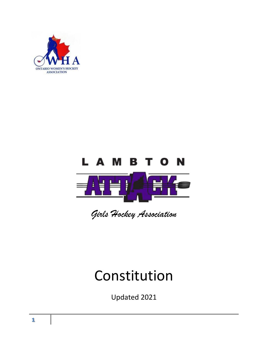



*Girls Hockey Association*

# Constitution

Updated 2021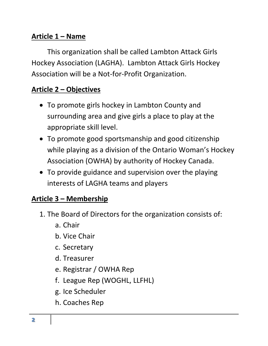#### **Article 1 – Name**

This organization shall be called Lambton Attack Girls Hockey Association (LAGHA). Lambton Attack Girls Hockey Association will be a Not-for-Profit Organization.

## **Article 2 – Objectives**

- To promote girls hockey in Lambton County and surrounding area and give girls a place to play at the appropriate skill level.
- To promote good sportsmanship and good citizenship while playing as a division of the Ontario Woman's Hockey Association (OWHA) by authority of Hockey Canada.
- To provide guidance and supervision over the playing interests of LAGHA teams and players

#### **Article 3 – Membership**

- 1. The Board of Directors for the organization consists of:
	- a. Chair
	- b. Vice Chair
	- c. Secretary
	- d. Treasurer
	- e. Registrar / OWHA Rep
	- f. League Rep (WOGHL, LLFHL)
	- g. Ice Scheduler
	- h. Coaches Rep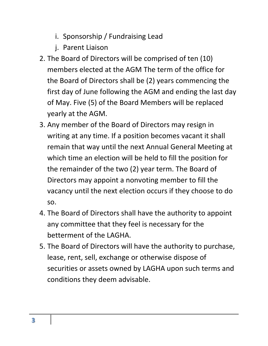- i. Sponsorship / Fundraising Lead
- j. Parent Liaison
- 2. The Board of Directors will be comprised of ten (10) members elected at the AGM The term of the office for the Board of Directors shall be (2) years commencing the first day of June following the AGM and ending the last day of May. Five (5) of the Board Members will be replaced yearly at the AGM.
- 3. Any member of the Board of Directors may resign in writing at any time. If a position becomes vacant it shall remain that way until the next Annual General Meeting at which time an election will be held to fill the position for the remainder of the two (2) year term. The Board of Directors may appoint a nonvoting member to fill the vacancy until the next election occurs if they choose to do so.
- 4. The Board of Directors shall have the authority to appoint any committee that they feel is necessary for the betterment of the LAGHA.
- 5. The Board of Directors will have the authority to purchase, lease, rent, sell, exchange or otherwise dispose of securities or assets owned by LAGHA upon such terms and conditions they deem advisable.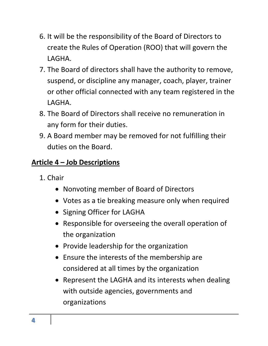- 6. It will be the responsibility of the Board of Directors to create the Rules of Operation (ROO) that will govern the LAGHA.
- 7. The Board of directors shall have the authority to remove, suspend, or discipline any manager, coach, player, trainer or other official connected with any team registered in the LAGHA.
- 8. The Board of Directors shall receive no remuneration in any form for their duties.
- 9. A Board member may be removed for not fulfilling their duties on the Board.

## **Article 4 – Job Descriptions**

- 1. Chair
	- Nonvoting member of Board of Directors
	- Votes as a tie breaking measure only when required
	- Signing Officer for LAGHA
	- Responsible for overseeing the overall operation of the organization
	- Provide leadership for the organization
	- Ensure the interests of the membership are considered at all times by the organization
	- Represent the LAGHA and its interests when dealing with outside agencies, governments and organizations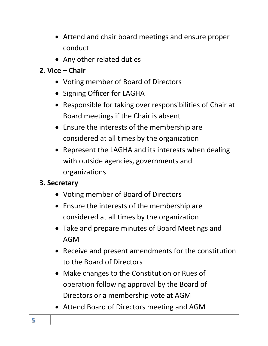- Attend and chair board meetings and ensure proper conduct
- Any other related duties

## **2. Vice – Chair**

- Voting member of Board of Directors
- Signing Officer for LAGHA
- Responsible for taking over responsibilities of Chair at Board meetings if the Chair is absent
- Ensure the interests of the membership are considered at all times by the organization
- Represent the LAGHA and its interests when dealing with outside agencies, governments and organizations

## **3. Secretary**

- Voting member of Board of Directors
- Ensure the interests of the membership are considered at all times by the organization
- Take and prepare minutes of Board Meetings and AGM
- Receive and present amendments for the constitution to the Board of Directors
- Make changes to the Constitution or Rues of operation following approval by the Board of Directors or a membership vote at AGM
- Attend Board of Directors meeting and AGM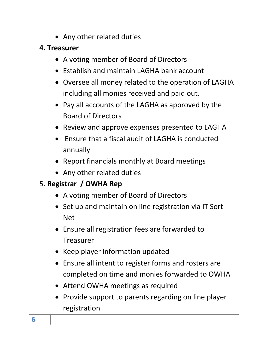- Any other related duties
- **4. Treasurer**
	- A voting member of Board of Directors
	- Establish and maintain LAGHA bank account
	- Oversee all money related to the operation of LAGHA including all monies received and paid out.
	- Pay all accounts of the LAGHA as approved by the Board of Directors
	- Review and approve expenses presented to LAGHA
	- Ensure that a fiscal audit of LAGHA is conducted annually
	- Report financials monthly at Board meetings
	- Any other related duties

# 5. **Registrar / OWHA Rep**

- A voting member of Board of Directors
- Set up and maintain on line registration via IT Sort Net
- Ensure all registration fees are forwarded to Treasurer
- Keep player information updated
- Ensure all intent to register forms and rosters are completed on time and monies forwarded to OWHA
- Attend OWHA meetings as required
- Provide support to parents regarding on line player registration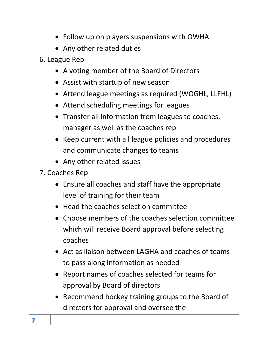- Follow up on players suspensions with OWHA
- Any other related duties
- 6. League Rep
	- A voting member of the Board of Directors
	- Assist with startup of new season
	- Attend league meetings as required (WOGHL, LLFHL)
	- Attend scheduling meetings for leagues
	- Transfer all information from leagues to coaches, manager as well as the coaches rep
	- Keep current with all league policies and procedures and communicate changes to teams
	- Any other related issues
- 7. Coaches Rep
	- Ensure all coaches and staff have the appropriate level of training for their team
	- Head the coaches selection committee
	- Choose members of the coaches selection committee which will receive Board approval before selecting coaches
	- Act as liaison between LAGHA and coaches of teams to pass along information as needed
	- Report names of coaches selected for teams for approval by Board of directors
	- Recommend hockey training groups to the Board of directors for approval and oversee the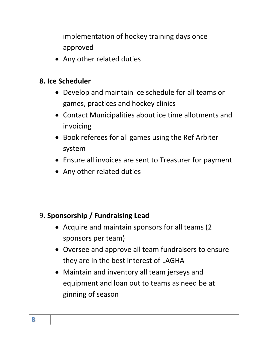implementation of hockey training days once approved

• Any other related duties

#### **8. Ice Scheduler**

- Develop and maintain ice schedule for all teams or games, practices and hockey clinics
- Contact Municipalities about ice time allotments and invoicing
- Book referees for all games using the Ref Arbiter system
- Ensure all invoices are sent to Treasurer for payment
- Any other related duties

## 9. **Sponsorship / Fundraising Lead**

- Acquire and maintain sponsors for all teams (2 sponsors per team)
- Oversee and approve all team fundraisers to ensure they are in the best interest of LAGHA
- Maintain and inventory all team jerseys and equipment and loan out to teams as need be at ginning of season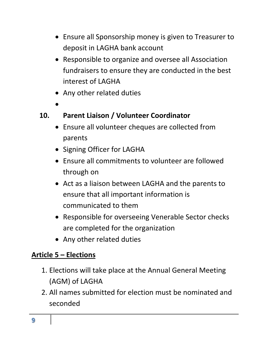- Ensure all Sponsorship money is given to Treasurer to deposit in LAGHA bank account
- Responsible to organize and oversee all Association fundraisers to ensure they are conducted in the best interest of LAGHA
- Any other related duties
- $\bullet$

#### **10. Parent Liaison / Volunteer Coordinator**

- Ensure all volunteer cheques are collected from parents
- Signing Officer for LAGHA
- Ensure all commitments to volunteer are followed through on
- Act as a liaison between LAGHA and the parents to ensure that all important information is communicated to them
- Responsible for overseeing Venerable Sector checks are completed for the organization
- Any other related duties

## **Article 5 – Elections**

- 1. Elections will take place at the Annual General Meeting (AGM) of LAGHA
- 2. All names submitted for election must be nominated and seconded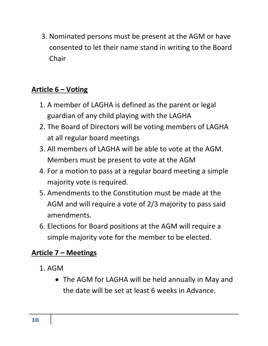3. Nominated persons must be present at the AGM or have consented to let their name stand in writing to the Board **Chair** 

## **Article 6 – Voting**

- 1. A member of LAGHA is defined as the parent or legal guardian of any child playing with the LAGHA
- 2. The Board of Directors will be voting members of LAGHA at all regular board meetings
- 3. All members of LAGHA will be able to vote at the AGM. Members must be present to vote at the AGM
- 4. For a motion to pass at a regular board meeting a simple majority vote is required.
- 5. Amendments to the Constitution must be made at the AGM and will require a vote of 2/3 majority to pass said amendments.
- 6. Elections for Board positions at the AGM will require a simple majority vote for the member to be elected.

#### **Article 7 – Meetings**

- 1. AGM
	- The AGM for LAGHA will be held annually in May and the date will be set at least 6 weeks in Advance.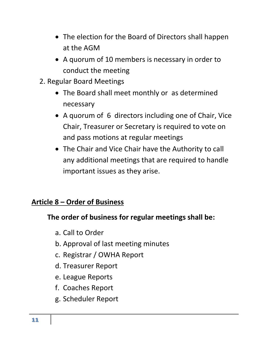- The election for the Board of Directors shall happen at the AGM
- A quorum of 10 members is necessary in order to conduct the meeting
- 2. Regular Board Meetings
	- The Board shall meet monthly or as determined necessary
	- A quorum of 6 directors including one of Chair, Vice Chair, Treasurer or Secretary is required to vote on and pass motions at regular meetings
	- The Chair and Vice Chair have the Authority to call any additional meetings that are required to handle important issues as they arise.

#### **Article 8 – Order of Business**

## **The order of business for regular meetings shall be:**

- a. Call to Order
- b. Approval of last meeting minutes
- c. Registrar / OWHA Report
- d. Treasurer Report
- e. League Reports
- f. Coaches Report
- g. Scheduler Report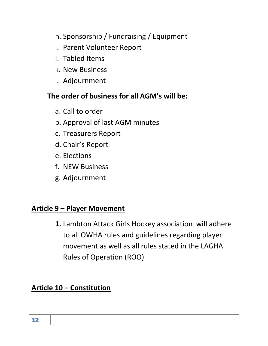- h. Sponsorship / Fundraising / Equipment
- i. Parent Volunteer Report
- j. Tabled Items
- k. New Business
- l. Adjournment

#### **The order of business for all AGM's will be:**

- a. Call to order
- b. Approval of last AGM minutes
- c. Treasurers Report
- d. Chair's Report
- e. Elections
- f. NEW Business
- g. Adjournment

#### **Article 9 – Player Movement**

**1.** Lambton Attack Girls Hockey association will adhere to all OWHA rules and guidelines regarding player movement as well as all rules stated in the LAGHA Rules of Operation (ROO)

#### **Article 10 – Constitution**